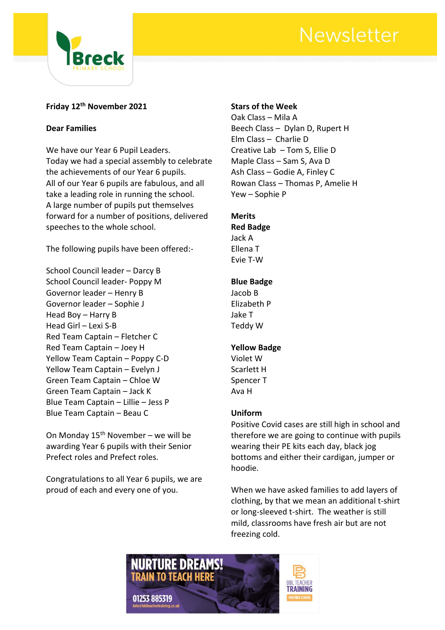

## **Friday 12th November 2021**

### **Dear Families**

We have our Year 6 Pupil Leaders. Today we had a special assembly to celebrate the achievements of our Year 6 pupils. All of our Year 6 pupils are fabulous, and all take a leading role in running the school. A large number of pupils put themselves forward for a number of positions, delivered speeches to the whole school.

The following pupils have been offered:-

School Council leader – Darcy B School Council leader- Poppy M Governor leader – Henry B Governor leader – Sophie J Head Boy – Harry B Head Girl – Lexi S-B Red Team Captain – Fletcher C Red Team Captain – Joey H Yellow Team Captain – Poppy C-D Yellow Team Captain – Evelyn J Green Team Captain – Chloe W Green Team Captain – Jack K Blue Team Captain – Lillie – Jess P Blue Team Captain – Beau C

On Monday  $15<sup>th</sup>$  November – we will be awarding Year 6 pupils with their Senior Prefect roles and Prefect roles.

Congratulations to all Year 6 pupils, we are proud of each and every one of you.

### **Stars of the Week**

Oak Class – Mila A Beech Class – Dylan D, Rupert H Elm Class – Charlie D Creative Lab – Tom S, Ellie D Maple Class – Sam S, Ava D Ash Class – Godie A, Finley C Rowan Class – Thomas P, Amelie H Yew – Sophie P

## **Merits**

**Red Badge** Jack A Ellena T Evie T-W

### **Blue Badge**

Jacob B Elizabeth P Jake T Teddy W

### **Yellow Badge**

Violet W Scarlett H Spencer T Ava H

### **Uniform**

Positive Covid cases are still high in school and therefore we are going to continue with pupils wearing their PE kits each day, black jog bottoms and either their cardigan, jumper or hoodie.

When we have asked families to add layers of clothing, by that we mean an additional t-shirt or long-sleeved t-shirt. The weather is still mild, classrooms have fresh air but are not freezing cold.

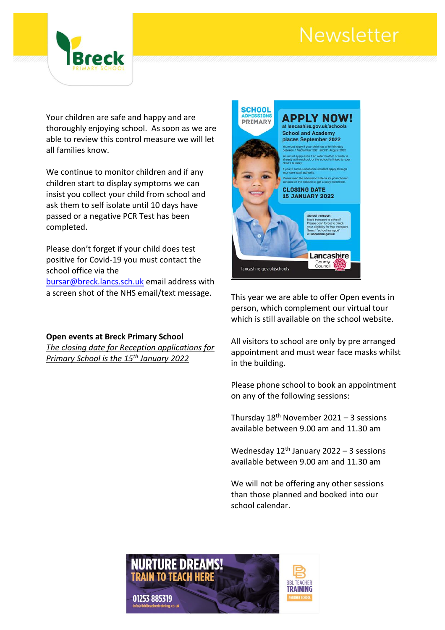

Your children are safe and happy and are thoroughly enjoying school. As soon as we are able to review this control measure we will let all families know.

We continue to monitor children and if any children start to display symptoms we can insist you collect your child from school and ask them to self isolate until 10 days have passed or a negative PCR Test has been completed.

Please don't forget if your child does test positive for Covid-19 you must contact the school office via the

[bursar@breck.lancs.sch.uk](mailto:bursar@breck.lancs.sch.uk) email address with a screen shot of the NHS email/text message.

**Open events at Breck Primary School** *The closing date for Reception applications for Primary School is the 15th January 2022*



This year we are able to offer Open events in person, which complement our virtual tour which is still available on the school website.

All visitors to school are only by pre arranged appointment and must wear face masks whilst in the building.

Please phone school to book an appointment on any of the following sessions:

Thursday  $18<sup>th</sup>$  November 2021 – 3 sessions available between 9.00 am and 11.30 am

Wednesday  $12<sup>th</sup>$  January 2022 – 3 sessions available between 9.00 am and 11.30 am

We will not be offering any other sessions than those planned and booked into our school calendar.

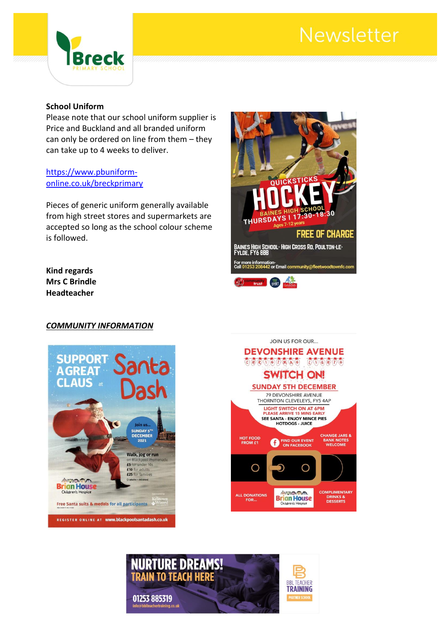

#### **School Uniform**

Please note that our school uniform supplier is Price and Buckland and all branded uniform can only be ordered on line from them – they can take up to 4 weeks to deliver.

### [https://www.pbuniform](https://www.pbuniform-online.co.uk/breckprimary)[online.co.uk/breckprimary](https://www.pbuniform-online.co.uk/breckprimary)

Pieces of generic uniform generally available from high street stores and supermarkets are accepted so long as the school colour scheme is followed.

#### **Kind regards Mrs C Brindle Headteacher**

#### *COMMUNITY INFORMATION*